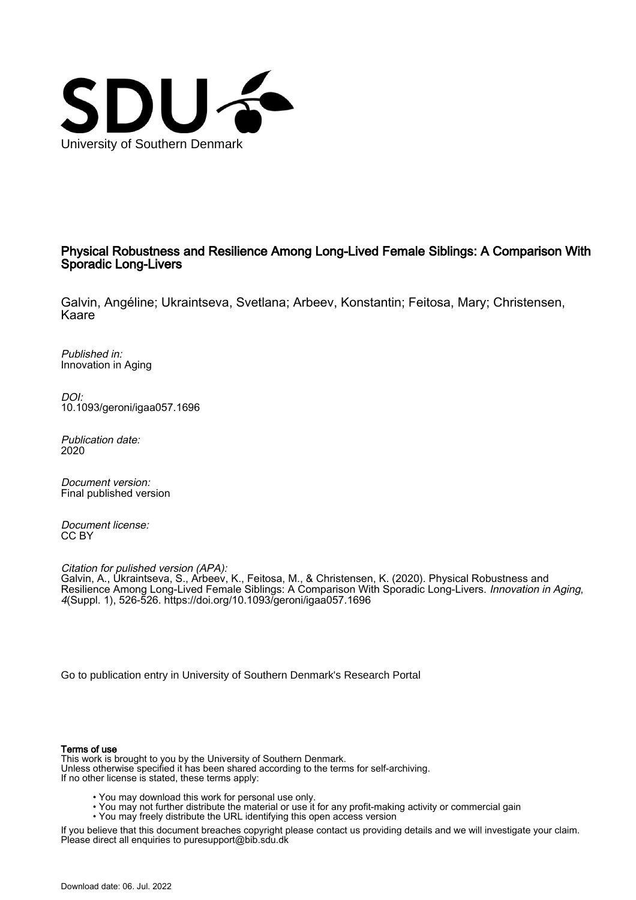

# Physical Robustness and Resilience Among Long-Lived Female Siblings: A Comparison With Sporadic Long-Livers

Galvin, Angéline; Ukraintseva, Svetlana; Arbeev, Konstantin; Feitosa, Mary; Christensen, Kaare

Published in: Innovation in Aging

DOI: [10.1093/geroni/igaa057.1696](https://doi.org/10.1093/geroni/igaa057.1696)

Publication date: 2020

Document version: Final published version

Document license: CC BY

Citation for pulished version (APA): Galvin, A., Ukraintseva, S., Arbeev, K., Feitosa, M., & Christensen, K. (2020). Physical Robustness and Resilience Among Long-Lived Female Siblings: A Comparison With Sporadic Long-Livers. *Innovation in Aging*, 4(Suppl. 1), 526-526. <https://doi.org/10.1093/geroni/igaa057.1696>

[Go to publication entry in University of Southern Denmark's Research Portal](https://portal.findresearcher.sdu.dk/en/publications/2fbc56c8-6de3-4405-8b4b-2ed52baa6ed8)

#### Terms of use

This work is brought to you by the University of Southern Denmark. Unless otherwise specified it has been shared according to the terms for self-archiving. If no other license is stated, these terms apply:

- You may download this work for personal use only.
- You may not further distribute the material or use it for any profit-making activity or commercial gain
	- You may freely distribute the URL identifying this open access version

If you believe that this document breaches copyright please contact us providing details and we will investigate your claim. Please direct all enquiries to puresupport@bib.sdu.dk